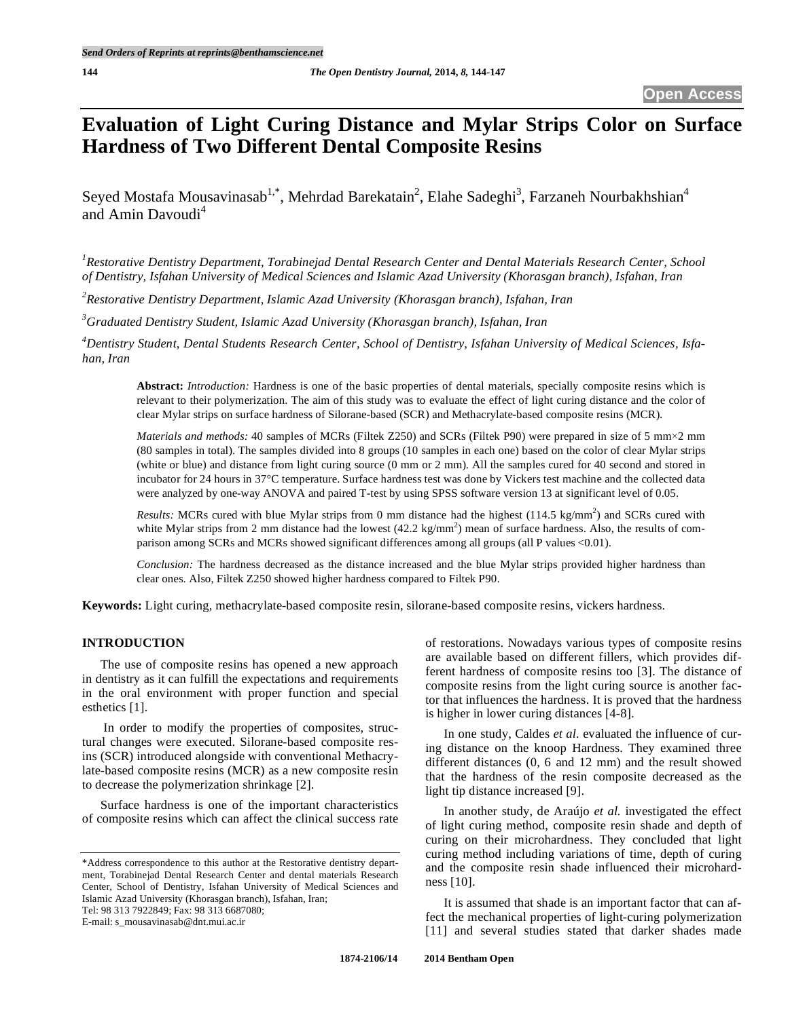# **Evaluation of Light Curing Distance and Mylar Strips Color on Surface Hardness of Two Different Dental Composite Resins**

Seyed Mostafa Mousavinasab<sup>1,\*</sup>, Mehrdad Barekatain<sup>2</sup>, Elahe Sadeghi<sup>3</sup>, Farzaneh Nourbakhshian<sup>4</sup> and Amin Davoudi<sup>4</sup>

<sup>1</sup> Restorative Dentistry Department, Torabinejad Dental Research Center and Dental Materials Research Center, School *of Dentistry, Isfahan University of Medical Sciences and Islamic Azad University (Khorasgan branch), Isfahan, Iran* 

*2 Restorative Dentistry Department, Islamic Azad University (Khorasgan branch), Isfahan, Iran* 

*3 Graduated Dentistry Student, Islamic Azad University (Khorasgan branch), Isfahan, Iran* 

*4 Dentistry Student, Dental Students Research Center, School of Dentistry, Isfahan University of Medical Sciences, Isfahan, Iran* 

**Abstract:** *Introduction:* Hardness is one of the basic properties of dental materials, specially composite resins which is relevant to their polymerization. The aim of this study was to evaluate the effect of light curing distance and the color of clear Mylar strips on surface hardness of Silorane-based (SCR) and Methacrylate-based composite resins (MCR).

*Materials and methods:* 40 samples of MCRs (Filtek Z250) and SCRs (Filtek P90) were prepared in size of 5 mm×2 mm (80 samples in total). The samples divided into 8 groups (10 samples in each one) based on the color of clear Mylar strips (white or blue) and distance from light curing source (0 mm or 2 mm). All the samples cured for 40 second and stored in incubator for 24 hours in 37°C temperature. Surface hardness test was done by Vickers test machine and the collected data were analyzed by one-way ANOVA and paired T-test by using SPSS software version 13 at significant level of 0.05.

*Results:* MCRs cured with blue Mylar strips from 0 mm distance had the highest  $(114.5 \text{ kg/mm}^2)$  and SCRs cured with white Mylar strips from 2 mm distance had the lowest  $(42.2 \text{ kg/mm}^2)$  mean of surface hardness. Also, the results of comparison among SCRs and MCRs showed significant differences among all groups (all P values <0.01).

*Conclusion:* The hardness decreased as the distance increased and the blue Mylar strips provided higher hardness than clear ones. Also, Filtek Z250 showed higher hardness compared to Filtek P90.

**Keywords:** Light curing, methacrylate-based composite resin, silorane-based composite resins, vickers hardness.

# **INTRODUCTION**

The use of composite resins has opened a new approach in dentistry as it can fulfill the expectations and requirements in the oral environment with proper function and special esthetics [1].

 In order to modify the properties of composites, structural changes were executed. Silorane-based composite resins (SCR) introduced alongside with conventional Methacrylate-based composite resins (MCR) as a new composite resin to decrease the polymerization shrinkage [2].

Surface hardness is one of the important characteristics of composite resins which can affect the clinical success rate

Tel: 98 313 7922849; Fax: 98 313 6687080;

E-mail: s\_mousavinasab@dnt.mui.ac.ir

of restorations. Nowadays various types of composite resins are available based on different fillers, which provides different hardness of composite resins too [3]. The distance of composite resins from the light curing source is another factor that influences the hardness. It is proved that the hardness is higher in lower curing distances [4-8].

In one study, Caldes *et al.* evaluated the influence of curing distance on the knoop Hardness. They examined three different distances (0, 6 and 12 mm) and the result showed that the hardness of the resin composite decreased as the light tip distance increased [9].

In another study, de Araújo *et al.* investigated the effect of light curing method, composite resin shade and depth of curing on their microhardness. They concluded that light curing method including variations of time, depth of curing and the composite resin shade influenced their microhardness [10].

It is assumed that shade is an important factor that can affect the mechanical properties of light-curing polymerization [11] and several studies stated that darker shades made

<sup>\*</sup>Address correspondence to this author at the Restorative dentistry department, Torabinejad Dental Research Center and dental materials Research Center, School of Dentistry, Isfahan University of Medical Sciences and Islamic Azad University (Khorasgan branch), Isfahan, Iran;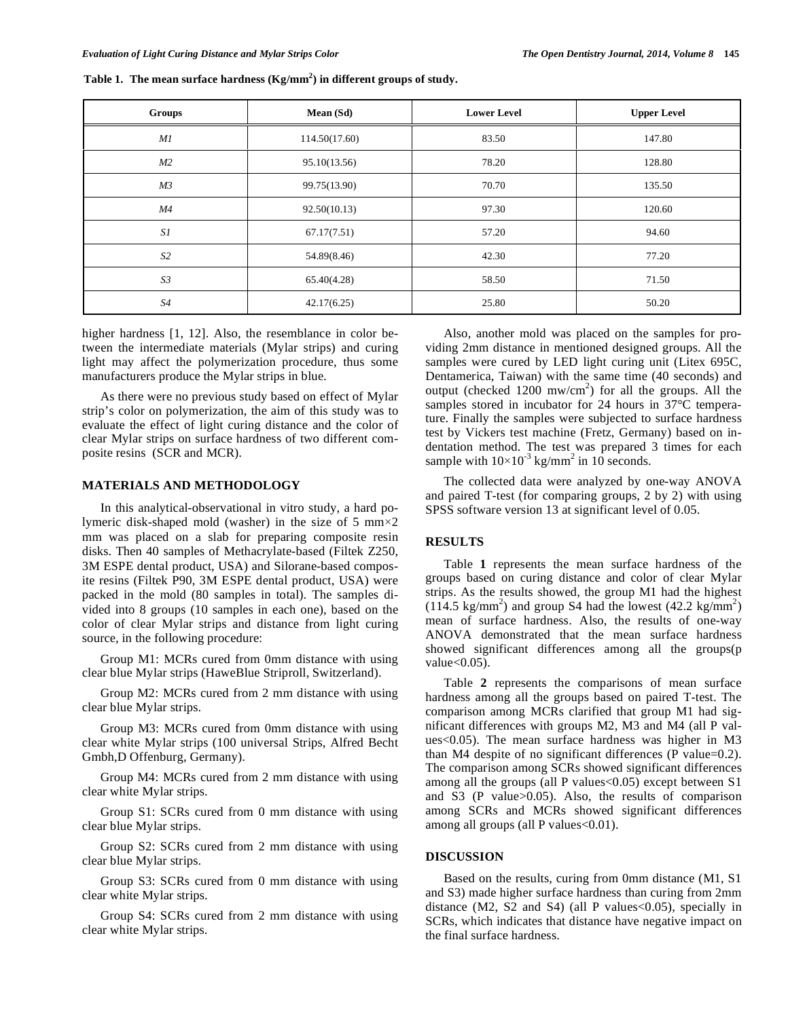| Groups         | Mean (Sd)     | <b>Lower Level</b> | <b>Upper Level</b> |  |
|----------------|---------------|--------------------|--------------------|--|
| MI             | 114.50(17.60) | 83.50              | 147.80             |  |
| M2             | 95.10(13.56)  | 78.20              | 128.80             |  |
| M <sub>3</sub> | 99.75(13.90)  | 70.70              | 135.50             |  |
| M4             | 92.50(10.13)  | 97.30              | 120.60             |  |
| S1             | 67.17(7.51)   | 57.20              | 94.60              |  |
| S <sub>2</sub> | 54.89(8.46)   | 42.30              | 77.20              |  |
| S <sub>3</sub> | 65.40(4.28)   | 58.50              | 71.50              |  |
| S4             | 42.17(6.25)   | 25.80              | 50.20              |  |

| Table 1. The mean surface hardness $(Kg/mm2)$ in different groups of study. |  |  |
|-----------------------------------------------------------------------------|--|--|
|                                                                             |  |  |

higher hardness [1, 12]. Also, the resemblance in color between the intermediate materials (Mylar strips) and curing light may affect the polymerization procedure, thus some manufacturers produce the Mylar strips in blue.

As there were no previous study based on effect of Mylar strip's color on polymerization, the aim of this study was to evaluate the effect of light curing distance and the color of clear Mylar strips on surface hardness of two different composite resins (SCR and MCR).

# **MATERIALS AND METHODOLOGY**

In this analytical-observational in vitro study, a hard polymeric disk-shaped mold (washer) in the size of 5 mm $\times$ 2 mm was placed on a slab for preparing composite resin disks. Then 40 samples of Methacrylate-based (Filtek Z250, 3M ESPE dental product, USA) and Silorane-based composite resins (Filtek P90, 3M ESPE dental product, USA) were packed in the mold (80 samples in total). The samples divided into 8 groups (10 samples in each one), based on the color of clear Mylar strips and distance from light curing source, in the following procedure:

Group M1: MCRs cured from 0mm distance with using clear blue Mylar strips (HaweBlue Striproll, Switzerland).

Group M2: MCRs cured from 2 mm distance with using clear blue Mylar strips.

Group M3: MCRs cured from 0mm distance with using clear white Mylar strips (100 universal Strips, Alfred Becht Gmbh,D Offenburg, Germany).

Group M4: MCRs cured from 2 mm distance with using clear white Mylar strips.

Group S1: SCRs cured from 0 mm distance with using clear blue Mylar strips.

Group S2: SCRs cured from 2 mm distance with using clear blue Mylar strips.

Group S3: SCRs cured from 0 mm distance with using clear white Mylar strips.

Group S4: SCRs cured from 2 mm distance with using clear white Mylar strips.

Also, another mold was placed on the samples for providing 2mm distance in mentioned designed groups. All the samples were cured by LED light curing unit (Litex 695C, Dentamerica, Taiwan) with the same time (40 seconds) and output (checked  $1200 \, \text{mw/cm}^2$ ) for all the groups. All the samples stored in incubator for 24 hours in 37°C temperature. Finally the samples were subjected to surface hardness test by Vickers test machine (Fretz, Germany) based on indentation method. The test was prepared 3 times for each sample with  $10\times10^{-3}$  kg/mm<sup>2</sup> in 10 seconds.

The collected data were analyzed by one-way ANOVA and paired T-test (for comparing groups, 2 by 2) with using SPSS software version 13 at significant level of 0.05.

# **RESULTS**

Table **1** represents the mean surface hardness of the groups based on curing distance and color of clear Mylar strips. As the results showed, the group M1 had the highest  $(114.5 \text{ kg/mm}^2)$  and group S4 had the lowest  $(42.2 \text{ kg/mm}^2)$ mean of surface hardness. Also, the results of one-way ANOVA demonstrated that the mean surface hardness showed significant differences among all the groups(p value $<$ 0.05).

Table **2** represents the comparisons of mean surface hardness among all the groups based on paired T-test. The comparison among MCRs clarified that group M1 had significant differences with groups M2, M3 and M4 (all P values<0.05). The mean surface hardness was higher in M3 than M4 despite of no significant differences (P value=0.2). The comparison among SCRs showed significant differences among all the groups (all P values<0.05) except between S1 and S3 (P value>0.05). Also, the results of comparison among SCRs and MCRs showed significant differences among all groups (all P values < 0.01).

# **DISCUSSION**

Based on the results, curing from 0mm distance (M1, S1 and S3) made higher surface hardness than curing from 2mm distance  $(M2, S2 \text{ and } S4)$  (all P values  $< 0.05$ ), specially in SCRs, which indicates that distance have negative impact on the final surface hardness.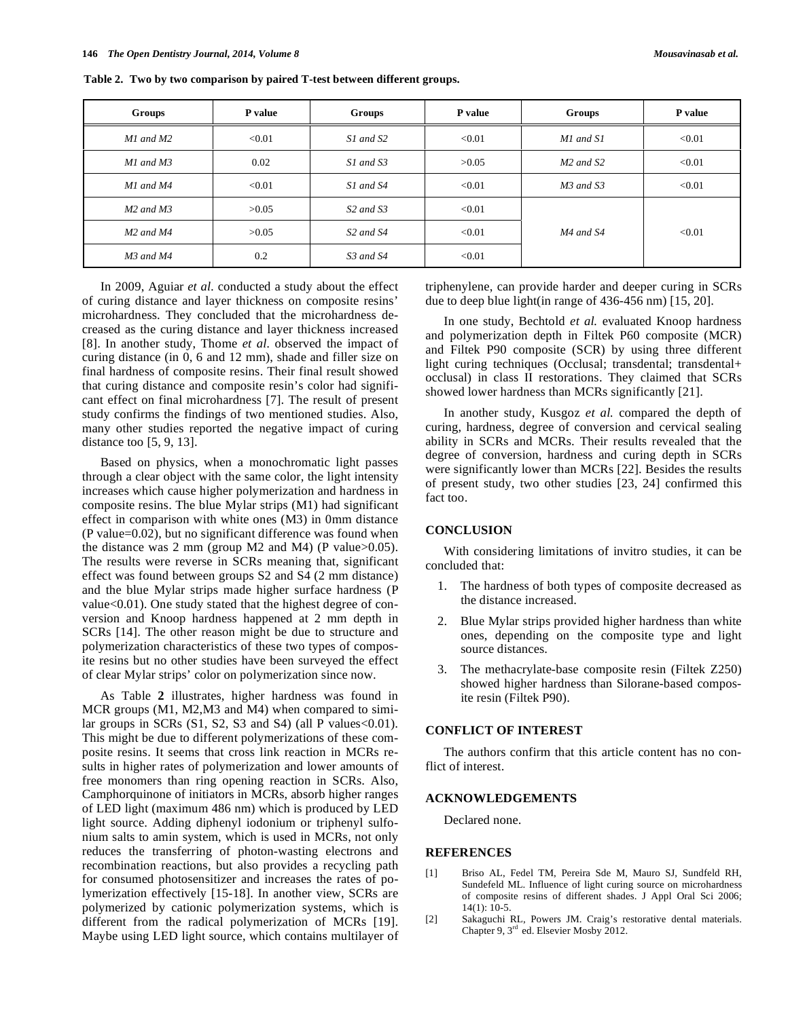| Groups                            | P value | Groups                            | <b>P</b> value | Groups        | P value |
|-----------------------------------|---------|-----------------------------------|----------------|---------------|---------|
| M1 and M2                         | < 0.01  | S1 and S2                         | < 0.01         | M1 and S1     | < 0.01  |
| M1 and M3                         | 0.02    | S1 and S3                         | >0.05          | $M2$ and $S2$ | < 0.01  |
| M1 and M4                         | < 0.01  | S1 and S4                         | < 0.01         | $M3$ and $S3$ | < 0.01  |
| $M2$ and $M3$                     | >0.05   | S <sub>2</sub> and S <sub>3</sub> | < 0.01         |               |         |
| $M2$ and $M4$                     | >0.05   | S <sub>2</sub> and S <sub>4</sub> | < 0.01         | $M4$ and S4   | < 0.01  |
| M <sub>3</sub> and M <sub>4</sub> | 0.2     | S3 and S4                         | < 0.01         |               |         |

**Table 2. Two by two comparison by paired T-test between different groups.** 

In 2009, Aguiar *et al.* conducted a study about the effect of curing distance and layer thickness on composite resins' microhardness. They concluded that the microhardness decreased as the curing distance and layer thickness increased [8]. In another study, Thome *et al.* observed the impact of curing distance (in 0, 6 and 12 mm), shade and filler size on final hardness of composite resins. Their final result showed that curing distance and composite resin's color had significant effect on final microhardness [7]. The result of present study confirms the findings of two mentioned studies. Also, many other studies reported the negative impact of curing distance too [5, 9, 13].

Based on physics, when a monochromatic light passes through a clear object with the same color, the light intensity increases which cause higher polymerization and hardness in composite resins. The blue Mylar strips (M1) had significant effect in comparison with white ones (M3) in 0mm distance (P value=0.02), but no significant difference was found when the distance was 2 mm (group M2 and M4) (P value $>0.05$ ). The results were reverse in SCRs meaning that, significant effect was found between groups S2 and S4 (2 mm distance) and the blue Mylar strips made higher surface hardness (P value<0.01). One study stated that the highest degree of conversion and Knoop hardness happened at 2 mm depth in SCRs [14]. The other reason might be due to structure and polymerization characteristics of these two types of composite resins but no other studies have been surveyed the effect of clear Mylar strips' color on polymerization since now.

As Table **2** illustrates, higher hardness was found in MCR groups (M1, M2,M3 and M4) when compared to similar groups in SCRs  $(S1, S2, S3$  and  $S4)$  (all P values  $<0.01$ ). This might be due to different polymerizations of these composite resins. It seems that cross link reaction in MCRs results in higher rates of polymerization and lower amounts of free monomers than ring opening reaction in SCRs. Also, Camphorquinone of initiators in MCRs, absorb higher ranges of LED light (maximum 486 nm) which is produced by LED light source. Adding diphenyl iodonium or triphenyl sulfonium salts to amin system, which is used in MCRs, not only reduces the transferring of photon-wasting electrons and recombination reactions, but also provides a recycling path for consumed photosensitizer and increases the rates of polymerization effectively [15-18]. In another view, SCRs are polymerized by cationic polymerization systems, which is different from the radical polymerization of MCRs [19]. Maybe using LED light source, which contains multilayer of triphenylene, can provide harder and deeper curing in SCRs due to deep blue light(in range of 436-456 nm) [15, 20].

In one study, Bechtold *et al.* evaluated Knoop hardness and polymerization depth in Filtek P60 composite (MCR) and Filtek P90 composite (SCR) by using three different light curing techniques (Occlusal; transdental; transdental+ occlusal) in class II restorations. They claimed that SCRs showed lower hardness than MCRs significantly [21].

In another study, Kusgoz *et al.* compared the depth of curing, hardness, degree of conversion and cervical sealing ability in SCRs and MCRs. Their results revealed that the degree of conversion, hardness and curing depth in SCRs were significantly lower than MCRs [22]. Besides the results of present study, two other studies [23, 24] confirmed this fact too.

### **CONCLUSION**

With considering limitations of invitro studies, it can be concluded that:

- 1. The hardness of both types of composite decreased as the distance increased.
- 2. Blue Mylar strips provided higher hardness than white ones, depending on the composite type and light source distances.
- 3. The methacrylate-base composite resin (Filtek Z250) showed higher hardness than Silorane-based composite resin (Filtek P90).

# **CONFLICT OF INTEREST**

The authors confirm that this article content has no conflict of interest.

#### **ACKNOWLEDGEMENTS**

Declared none.

### **REFERENCES**

- [1] Briso AL, Fedel TM, Pereira Sde M, Mauro SJ, Sundfeld RH, Sundefeld ML. Influence of light curing source on microhardness of composite resins of different shades. J Appl Oral Sci 2006; 14(1): 10-5.
- [2] Sakaguchi RL, Powers JM. Craig's restorative dental materials. Chapter 9, 3rd ed. Elsevier Mosby 2012.